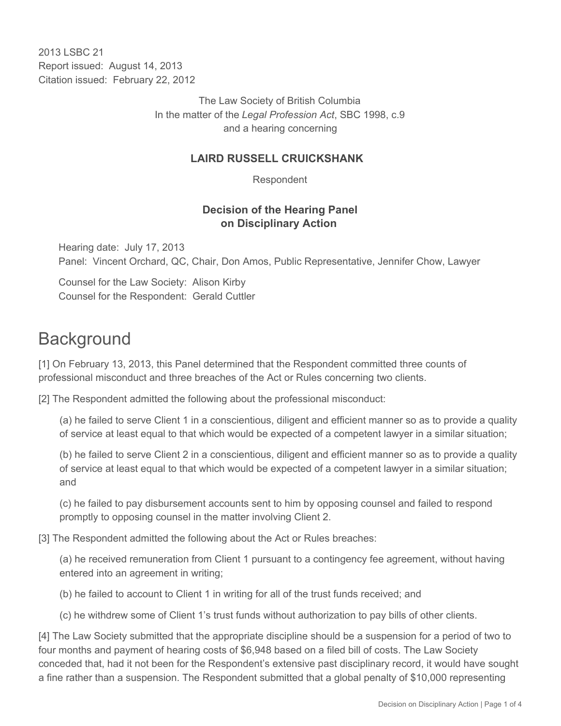2013 LSBC 21 Report issued: August 14, 2013 Citation issued: February 22, 2012

> The Law Society of British Columbia In the matter of the *Legal Profession Act*, SBC 1998, c.9 and a hearing concerning

#### **LAIRD RUSSELL CRUICKSHANK**

Respondent

## **Decision of the Hearing Panel on Disciplinary Action**

Hearing date: July 17, 2013 Panel: Vincent Orchard, QC, Chair, Don Amos, Public Representative, Jennifer Chow, Lawyer

Counsel for the Law Society: Alison Kirby Counsel for the Respondent: Gerald Cuttler

# **Background**

[1] On February 13, 2013, this Panel determined that the Respondent committed three counts of professional misconduct and three breaches of the Act or Rules concerning two clients.

[2] The Respondent admitted the following about the professional misconduct:

(a) he failed to serve Client 1 in a conscientious, diligent and efficient manner so as to provide a quality of service at least equal to that which would be expected of a competent lawyer in a similar situation;

(b) he failed to serve Client 2 in a conscientious, diligent and efficient manner so as to provide a quality of service at least equal to that which would be expected of a competent lawyer in a similar situation; and

(c) he failed to pay disbursement accounts sent to him by opposing counsel and failed to respond promptly to opposing counsel in the matter involving Client 2.

[3] The Respondent admitted the following about the Act or Rules breaches:

(a) he received remuneration from Client 1 pursuant to a contingency fee agreement, without having entered into an agreement in writing;

(b) he failed to account to Client 1 in writing for all of the trust funds received; and

(c) he withdrew some of Client 1's trust funds without authorization to pay bills of other clients.

[4] The Law Society submitted that the appropriate discipline should be a suspension for a period of two to four months and payment of hearing costs of \$6,948 based on a filed bill of costs. The Law Society conceded that, had it not been for the Respondent's extensive past disciplinary record, it would have sought a fine rather than a suspension. The Respondent submitted that a global penalty of \$10,000 representing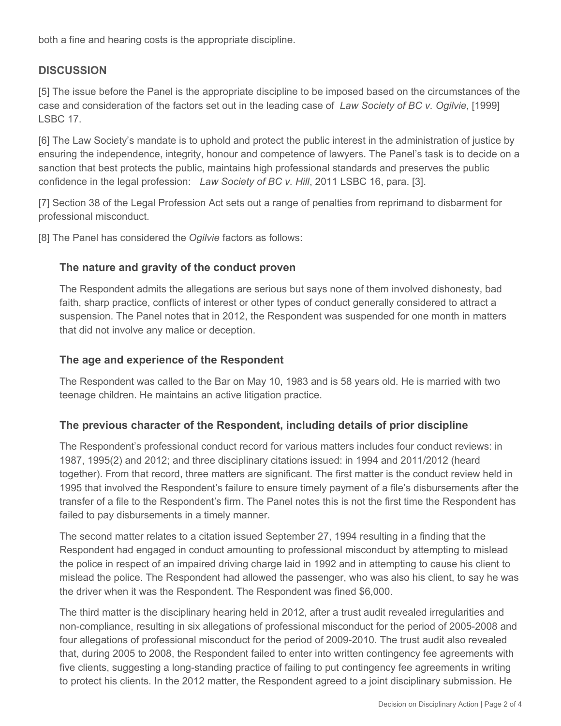both a fine and hearing costs is the appropriate discipline.

# **DISCUSSION**

[5] The issue before the Panel is the appropriate discipline to be imposed based on the circumstances of the case and consideration of the factors set out in the leading case of *Law Society of BC v. Ogilvie*, [1999] LSBC 17.

[6] The Law Society's mandate is to uphold and protect the public interest in the administration of justice by ensuring the independence, integrity, honour and competence of lawyers. The Panel's task is to decide on a sanction that best protects the public, maintains high professional standards and preserves the public confidence in the legal profession: *Law Society of BC v. Hill*, 2011 LSBC 16, para. [3].

[7] Section 38 of the Legal Profession Act sets out a range of penalties from reprimand to disbarment for professional misconduct.

[8] The Panel has considered the *Ogilvie* factors as follows:

## **The nature and gravity of the conduct proven**

The Respondent admits the allegations are serious but says none of them involved dishonesty, bad faith, sharp practice, conflicts of interest or other types of conduct generally considered to attract a suspension. The Panel notes that in 2012, the Respondent was suspended for one month in matters that did not involve any malice or deception.

## **The age and experience of the Respondent**

The Respondent was called to the Bar on May 10, 1983 and is 58 years old. He is married with two teenage children. He maintains an active litigation practice.

## **The previous character of the Respondent, including details of prior discipline**

The Respondent's professional conduct record for various matters includes four conduct reviews: in 1987, 1995(2) and 2012; and three disciplinary citations issued: in 1994 and 2011/2012 (heard together). From that record, three matters are significant. The first matter is the conduct review held in 1995 that involved the Respondent's failure to ensure timely payment of a file's disbursements after the transfer of a file to the Respondent's firm. The Panel notes this is not the first time the Respondent has failed to pay disbursements in a timely manner.

The second matter relates to a citation issued September 27, 1994 resulting in a finding that the Respondent had engaged in conduct amounting to professional misconduct by attempting to mislead the police in respect of an impaired driving charge laid in 1992 and in attempting to cause his client to mislead the police. The Respondent had allowed the passenger, who was also his client, to say he was the driver when it was the Respondent. The Respondent was fined \$6,000.

The third matter is the disciplinary hearing held in 2012, after a trust audit revealed irregularities and non-compliance, resulting in six allegations of professional misconduct for the period of 2005-2008 and four allegations of professional misconduct for the period of 2009-2010. The trust audit also revealed that, during 2005 to 2008, the Respondent failed to enter into written contingency fee agreements with five clients, suggesting a long-standing practice of failing to put contingency fee agreements in writing to protect his clients. In the 2012 matter, the Respondent agreed to a joint disciplinary submission. He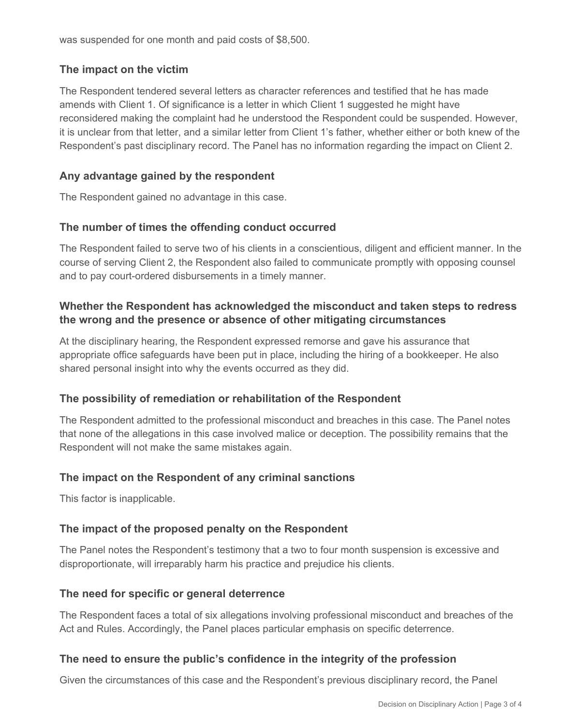was suspended for one month and paid costs of \$8,500.

## **The impact on the victim**

The Respondent tendered several letters as character references and testified that he has made amends with Client 1. Of significance is a letter in which Client 1 suggested he might have reconsidered making the complaint had he understood the Respondent could be suspended. However, it is unclear from that letter, and a similar letter from Client 1's father, whether either or both knew of the Respondent's past disciplinary record. The Panel has no information regarding the impact on Client 2.

#### **Any advantage gained by the respondent**

The Respondent gained no advantage in this case.

#### **The number of times the offending conduct occurred**

The Respondent failed to serve two of his clients in a conscientious, diligent and efficient manner. In the course of serving Client 2, the Respondent also failed to communicate promptly with opposing counsel and to pay court-ordered disbursements in a timely manner.

## **Whether the Respondent has acknowledged the misconduct and taken steps to redress the wrong and the presence or absence of other mitigating circumstances**

At the disciplinary hearing, the Respondent expressed remorse and gave his assurance that appropriate office safeguards have been put in place, including the hiring of a bookkeeper. He also shared personal insight into why the events occurred as they did.

#### **The possibility of remediation or rehabilitation of the Respondent**

The Respondent admitted to the professional misconduct and breaches in this case. The Panel notes that none of the allegations in this case involved malice or deception. The possibility remains that the Respondent will not make the same mistakes again.

#### **The impact on the Respondent of any criminal sanctions**

This factor is inapplicable.

#### **The impact of the proposed penalty on the Respondent**

The Panel notes the Respondent's testimony that a two to four month suspension is excessive and disproportionate, will irreparably harm his practice and prejudice his clients.

#### **The need for specific or general deterrence**

The Respondent faces a total of six allegations involving professional misconduct and breaches of the Act and Rules. Accordingly, the Panel places particular emphasis on specific deterrence.

#### **The need to ensure the public's confidence in the integrity of the profession**

Given the circumstances of this case and the Respondent's previous disciplinary record, the Panel